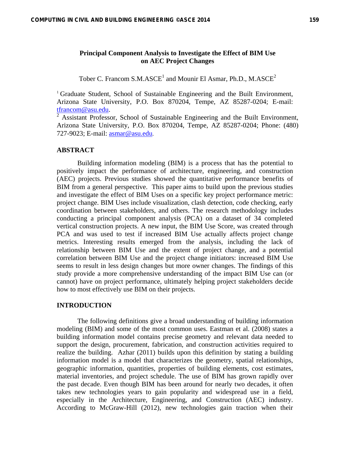# **Principal Component Analysis to Investigate the Effect of BIM Use on AEC Project Changes**

Tober C. Francom  $S.M.ASCE<sup>1</sup>$  and Mounir El Asmar, Ph.D.,  $M.ASCE<sup>2</sup>$ 

<sup>1</sup> Graduate Student, School of Sustainable Engineering and the Built Environment, Arizona State University, P.O. Box 870204, Tempe, AZ 85287-0204; E-mail: tfrancom@asu.edu. 2

 $2$  Assistant Professor, School of Sustainable Engineering and the Built Environment, Arizona State University, P.O. Box 870204, Tempe, AZ 85287-0204; Phone: (480) 727-9023; E-mail: asmar@asu.edu.

#### **ABSTRACT**

Building information modeling (BIM) is a process that has the potential to positively impact the performance of architecture, engineering, and construction (AEC) projects. Previous studies showed the quantitative performance benefits of BIM from a general perspective. This paper aims to build upon the previous studies and investigate the effect of BIM Uses on a specific key project performance metric: project change. BIM Uses include visualization, clash detection, code checking, early coordination between stakeholders, and others. The research methodology includes conducting a principal component analysis (PCA) on a dataset of 34 completed vertical construction projects. A new input, the BIM Use Score, was created through PCA and was used to test if increased BIM Use actually affects project change metrics. Interesting results emerged from the analysis, including the lack of relationship between BIM Use and the extent of project change, and a potential correlation between BIM Use and the project change initiators: increased BIM Use seems to result in less design changes but more owner changes. The findings of this study provide a more comprehensive understanding of the impact BIM Use can (or cannot) have on project performance, ultimately helping project stakeholders decide how to most effectively use BIM on their projects.

### **INTRODUCTION**

The following definitions give a broad understanding of building information modeling (BIM) and some of the most common uses. Eastman et al. (2008) states a building information model contains precise geometry and relevant data needed to support the design, procurement, fabrication, and construction activities required to realize the building. Azhar (2011) builds upon this definition by stating a building information model is a model that characterizes the geometry, spatial relationships, geographic information, quantities, properties of building elements, cost estimates, material inventories, and project schedule. The use of BIM has grown rapidly over the past decade. Even though BIM has been around for nearly two decades, it often takes new technologies years to gain popularity and widespread use in a field, especially in the Architecture, Engineering, and Construction (AEC) industry. According to McGraw-Hill (2012), new technologies gain traction when their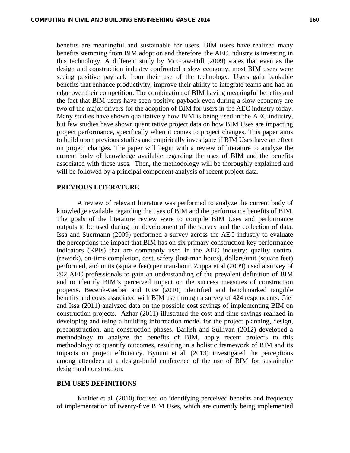benefits are meaningful and sustainable for users. BIM users have realized many benefits stemming from BIM adoption and therefore, the AEC industry is investing in this technology. A different study by McGraw-Hill (2009) states that even as the design and construction industry confronted a slow economy, most BIM users were seeing positive payback from their use of the technology. Users gain bankable benefits that enhance productivity, improve their ability to integrate teams and had an edge over their competition. The combination of BIM having meaningful benefits and the fact that BIM users have seen positive payback even during a slow economy are two of the major drivers for the adoption of BIM for users in the AEC industry today. Many studies have shown qualitatively how BIM is being used in the AEC industry, but few studies have shown quantitative project data on how BIM Uses are impacting project performance, specifically when it comes to project changes. This paper aims to build upon previous studies and empirically investigate if BIM Uses have an effect on project changes. The paper will begin with a review of literature to analyze the current body of knowledge available regarding the uses of BIM and the benefits associated with these uses. Then, the methodology will be thoroughly explained and will be followed by a principal component analysis of recent project data.

### **PREVIOUS LITERATURE**

A review of relevant literature was performed to analyze the current body of knowledge available regarding the uses of BIM and the performance benefits of BIM. The goals of the literature review were to compile BIM Uses and performance outputs to be used during the development of the survey and the collection of data. Issa and Suermann (2009) performed a survey across the AEC industry to evaluate the perceptions the impact that BIM has on six primary construction key performance indicators (KPIs) that are commonly used in the AEC industry: quality control (rework), on-time completion, cost, safety (lost-man hours), dollars/unit (square feet) performed, and units (square feet) per man-hour. Zuppa et al (2009) used a survey of 202 AEC professionals to gain an understanding of the prevalent definition of BIM and to identify BIM's perceived impact on the success measures of construction projects. Becerik-Gerber and Rice (2010) identified and benchmarked tangible benefits and costs associated with BIM use through a survey of 424 respondents. Giel and Issa (2011) analyzed data on the possible cost savings of implementing BIM on construction projects. Azhar (2011) illustrated the cost and time savings realized in developing and using a building information model for the project planning, design, preconstruction, and construction phases. Barlish and Sullivan (2012) developed a methodology to analyze the benefits of BIM, apply recent projects to this methodology to quantify outcomes, resulting in a holistic framework of BIM and its impacts on project efficiency. Bynum et al. (2013) investigated the perceptions among attendees at a design-build conference of the use of BIM for sustainable design and construction.

### **BIM USES DEFINITIONS**

Kreider et al. (2010) focused on identifying perceived benefits and frequency of implementation of twenty-five BIM Uses, which are currently being implemented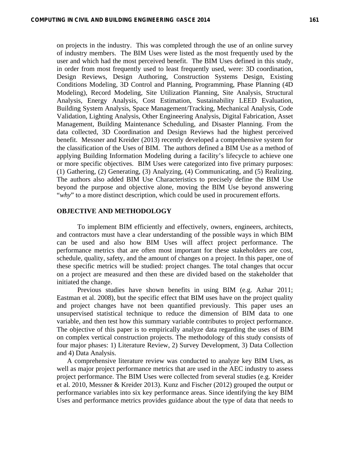on projects in the industry. This was completed through the use of an online survey of industry members. The BIM Uses were listed as the most frequently used by the user and which had the most perceived benefit. The BIM Uses defined in this study, in order from most frequently used to least frequently used, were: 3D coordination, Design Reviews, Design Authoring, Construction Systems Design, Existing Conditions Modeling, 3D Control and Planning, Programming, Phase Planning (4D Modeling), Record Modeling, Site Utilization Planning, Site Analysis, Structural Analysis, Energy Analysis, Cost Estimation, Sustainability LEED Evaluation, Building System Analysis, Space Management/Tracking, Mechanical Analysis, Code Validation, Lighting Analysis, Other Engineering Analysis, Digital Fabrication, Asset Management, Building Maintenance Scheduling, and Disaster Planning. From the data collected, 3D Coordination and Design Reviews had the highest perceived benefit. Messner and Kreider (2013) recently developed a comprehensive system for the classification of the Uses of BIM. The authors defined a BIM Use as a method of applying Building Information Modeling during a facility's lifecycle to achieve one or more specific objectives. BIM Uses were categorized into five primary purposes: (1) Gathering, (2) Generating, (3) Analyzing, (4) Communicating, and (5) Realizing. The authors also added BIM Use Characteristics to precisely define the BIM Use beyond the purpose and objective alone, moving the BIM Use beyond answering "*why*" to a more distinct description, which could be used in procurement efforts.

### **OBJECTIVE AND METHODOLOGY**

To implement BIM efficiently and effectively, owners, engineers, architects, and contractors must have a clear understanding of the possible ways in which BIM can be used and also how BIM Uses will affect project performance. The performance metrics that are often most important for these stakeholders are cost, schedule, quality, safety, and the amount of changes on a project. In this paper, one of these specific metrics will be studied: project changes. The total changes that occur on a project are measured and then these are divided based on the stakeholder that initiated the change.

Previous studies have shown benefits in using BIM (e.g. Azhar 2011; Eastman et al. 2008), but the specific effect that BIM uses have on the project quality and project changes have not been quantified previously. This paper uses an unsupervised statistical technique to reduce the dimension of BIM data to one variable, and then test how this summary variable contributes to project performance. The objective of this paper is to empirically analyze data regarding the uses of BIM on complex vertical construction projects. The methodology of this study consists of four major phases: 1) Literature Review, 2) Survey Development, 3) Data Collection and 4) Data Analysis.

A comprehensive literature review was conducted to analyze key BIM Uses, as well as major project performance metrics that are used in the AEC industry to assess project performance. The BIM Uses were collected from several studies (e.g. Kreider et al. 2010, Messner & Kreider 2013). Kunz and Fischer (2012) grouped the output or performance variables into six key performance areas. Since identifying the key BIM Uses and performance metrics provides guidance about the type of data that needs to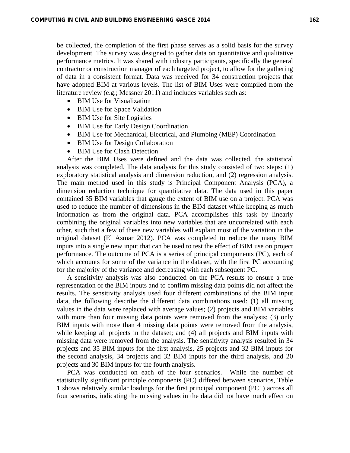be collected, the completion of the first phase serves as a solid basis for the survey development. The survey was designed to gather data on quantitative and qualitative performance metrics. It was shared with industry participants, specifically the general contractor or construction manager of each targeted project, to allow for the gathering of data in a consistent format. Data was received for 34 construction projects that have adopted BIM at various levels. The list of BIM Uses were compiled from the literature review (e.g.; Messner 2011) and includes variables such as:

- BIM Use for Visualization
- BIM Use for Space Validation
- BIM Use for Site Logistics
- BIM Use for Early Design Coordination
- BIM Use for Mechanical, Electrical, and Plumbing (MEP) Coordination
- BIM Use for Design Collaboration
- BIM Use for Clash Detection

After the BIM Uses were defined and the data was collected, the statistical analysis was completed. The data analysis for this study consisted of two steps: (1) exploratory statistical analysis and dimension reduction, and (2) regression analysis. The main method used in this study is Principal Component Analysis (PCA), a dimension reduction technique for quantitative data. The data used in this paper contained 35 BIM variables that gauge the extent of BIM use on a project. PCA was used to reduce the number of dimensions in the BIM dataset while keeping as much information as from the original data. PCA accomplishes this task by linearly combining the original variables into new variables that are uncorrelated with each other, such that a few of these new variables will explain most of the variation in the original dataset (El Asmar 2012). PCA was completed to reduce the many BIM inputs into a single new input that can be used to test the effect of BIM use on project performance. The outcome of PCA is a series of principal components (PC), each of which accounts for some of the variance in the dataset, with the first PC accounting for the majority of the variance and decreasing with each subsequent PC.

A sensitivity analysis was also conducted on the PCA results to ensure a true representation of the BIM inputs and to confirm missing data points did not affect the results. The sensitivity analysis used four different combinations of the BIM input data, the following describe the different data combinations used: (1) all missing values in the data were replaced with average values; (2) projects and BIM variables with more than four missing data points were removed from the analysis; (3) only BIM inputs with more than 4 missing data points were removed from the analysis, while keeping all projects in the dataset; and (4) all projects and BIM inputs with missing data were removed from the analysis. The sensitivity analysis resulted in 34 projects and 35 BIM inputs for the first analysis, 25 projects and 32 BIM inputs for the second analysis, 34 projects and 32 BIM inputs for the third analysis, and 20 projects and 30 BIM inputs for the fourth analysis.

PCA was conducted on each of the four scenarios. While the number of statistically significant principle components (PC) differed between scenarios, Table 1 shows relatively similar loadings for the first principal component (PC1) across all four scenarios, indicating the missing values in the data did not have much effect on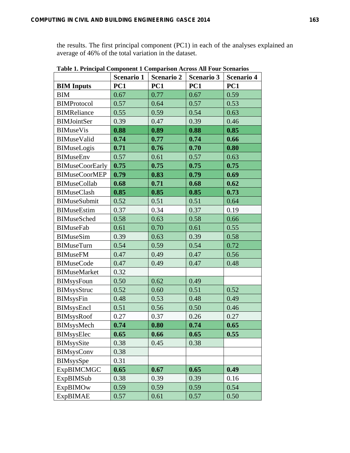the results. The first principal component (PC1) in each of the analyses explained an average of 46% of the total variation in the dataset.

| radie 1. Frincipal Component 1 Comparison Across An Four Scenarios | Scenario 1 | <b>Scenario 2</b> | <b>Scenario 3</b> | <b>Scenario 4</b> |
|--------------------------------------------------------------------|------------|-------------------|-------------------|-------------------|
| <b>BIM</b> Inputs                                                  | PC1        | PC1               | PC1               | PC1               |
| <b>BIM</b>                                                         | 0.67       | 0.77              | 0.67              | 0.59              |
| <b>BIMProtocol</b>                                                 | 0.57       | 0.64              | 0.57              | 0.53              |
| <b>BIMReliance</b>                                                 | 0.55       | 0.59              | 0.54              | 0.63              |
| <b>BIMJointSer</b>                                                 | 0.39       | 0.47              | 0.39              | 0.46              |
| <b>BIMuseVis</b>                                                   | 0.88       | 0.89              | 0.88              | 0.85              |
| <b>BIMuseValid</b>                                                 | 0.74       | 0.77              | 0.74              | 0.66              |
| <b>BIMuseLogis</b>                                                 | 0.71       | 0.76              | 0.70              | 0.80              |
| <b>BIMuseEnv</b>                                                   | 0.57       | 0.61              | 0.57              | 0.63              |
| <b>BIMuseCoorEarly</b>                                             | 0.75       | 0.75              | 0.75              | 0.75              |
| <b>BIMuseCoorMEP</b>                                               | 0.79       | 0.83              | 0.79              | 0.69              |
| <b>BIMuseCollab</b>                                                | 0.68       | 0.71              | 0.68              | 0.62              |
| <b>BIMuseClash</b>                                                 | 0.85       | 0.85              | 0.85              | 0.73              |
| <b>BIMuseSubmit</b>                                                | 0.52       | 0.51              | 0.51              | 0.64              |
| <b>BIMuseEstim</b>                                                 | 0.37       | 0.34              | 0.37              | 0.19              |
| <b>BIMuseSched</b>                                                 | 0.58       | 0.63              | 0.58              | 0.66              |
| <b>BIMuseFab</b>                                                   | 0.61       | 0.70              | 0.61              | 0.55              |
| <b>BIMuseSim</b>                                                   | 0.39       | 0.63              | 0.39              | 0.58              |
| <b>BIMuseTurn</b>                                                  | 0.54       | 0.59              | 0.54              | 0.72              |
| <b>BIMuseFM</b>                                                    | 0.47       | 0.49              | 0.47              | 0.56              |
| <b>BIMuseCode</b>                                                  | 0.47       | 0.49              | 0.47              | 0.48              |
| <b>BIMuseMarket</b>                                                | 0.32       |                   |                   |                   |
| <b>BIMsysFoun</b>                                                  | 0.50       | 0.62              | 0.49              |                   |
| BIMsysStruc                                                        | 0.52       | 0.60              | 0.51              | 0.52              |
| <b>BIMsysFin</b>                                                   | 0.48       | 0.53              | 0.48              | 0.49              |
| BIMsysEncl                                                         | 0.51       | 0.56              | 0.50              | 0.46              |
| <b>BIMsysRoof</b>                                                  | 0.27       | 0.37              | 0.26              | 0.27              |
| BIMsysMech                                                         | 0.74       | 0.80              | 0.74              | 0.65              |
| <b>BIMsysElec</b>                                                  | 0.65       | 0.66              | 0.65              | 0.55              |
| BIMsysSite                                                         | 0.38       | 0.45              | 0.38              |                   |
| <b>BIMsysConv</b>                                                  | 0.38       |                   |                   |                   |
| BIMsysSpe                                                          | 0.31       |                   |                   |                   |
| <b>ExpBIMCMGC</b>                                                  | 0.65       | 0.67              | 0.65              | 0.49              |
| ExpBIMSub                                                          | 0.38       | 0.39              | 0.39              | 0.16              |
| <b>ExpBIMOw</b>                                                    | 0.59       | 0.59              | 0.59              | 0.54              |
| <b>ExpBIMAE</b>                                                    | 0.57       | 0.61              | 0.57              | 0.50              |

**Table 1. Principal Component 1 Comparison Across All Four Scenarios**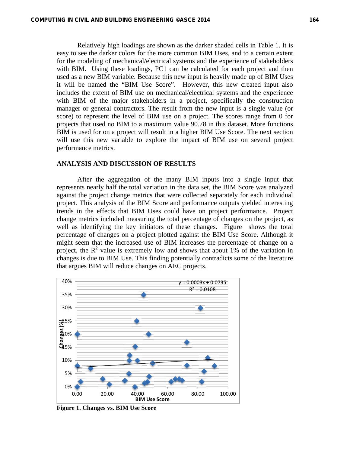Relatively high loadings are shown as the darker shaded cells in Table 1. It is easy to see the darker colors for the more common BIM Uses, and to a certain extent for the modeling of mechanical/electrical systems and the experience of stakeholders with BIM. Using these loadings, PC1 can be calculated for each project and then used as a new BIM variable. Because this new input is heavily made up of BIM Uses it will be named the "BIM Use Score". However, this new created input also includes the extent of BIM use on mechanical/electrical systems and the experience with BIM of the major stakeholders in a project, specifically the construction manager or general contractors. The result from the new input is a single value (or score) to represent the level of BIM use on a project. The scores range from 0 for projects that used no BIM to a maximum value 90.78 in this dataset. More functions BIM is used for on a project will result in a higher BIM Use Score. The next section will use this new variable to explore the impact of BIM use on several project performance metrics.

## **ANALYSIS AND DISCUSSION OF RESULTS**

After the aggregation of the many BIM inputs into a single input that represents nearly half the total variation in the data set, the BIM Score was analyzed against the project change metrics that were collected separately for each individual project. This analysis of the BIM Score and performance outputs yielded interesting trends in the effects that BIM Uses could have on project performance. Project change metrics included measuring the total percentage of changes on the project, as well as identifying the key initiators of these changes. Figure shows the total percentage of changes on a project plotted against the BIM Use Score. Although it might seem that the increased use of BIM increases the percentage of change on a project, the  $R^2$  value is extremely low and shows that about 1% of the variation in changes is due to BIM Use. This finding potentially contradicts some of the literature that argues BIM will reduce changes on AEC projects.



**Figure 1. Changes vs. BIM Use Score**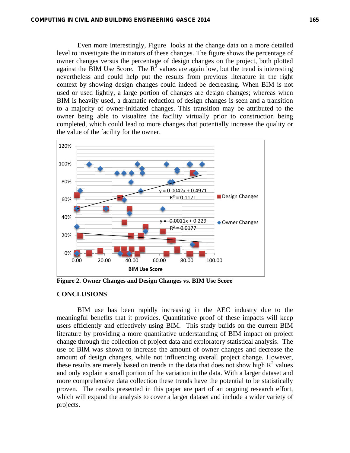Even more interestingly, Figure looks at the change data on a more detailed level to investigate the initiators of these changes. The figure shows the percentage of owner changes versus the percentage of design changes on the project, both plotted against the BIM Use Score. The  $R^2$  values are again low, but the trend is interesting nevertheless and could help put the results from previous literature in the right context by showing design changes could indeed be decreasing. When BIM is not used or used lightly, a large portion of changes are design changes; whereas when BIM is heavily used, a dramatic reduction of design changes is seen and a transition to a majority of owner-initiated changes. This transition may be attributed to the owner being able to visualize the facility virtually prior to construction being completed, which could lead to more changes that potentially increase the quality or the value of the facility for the owner.



**Figure 2. Owner Changes and Design Changes vs. BIM Use Score** 

### **CONCLUSIONS**

BIM use has been rapidly increasing in the AEC industry due to the meaningful benefits that it provides. Quantitative proof of these impacts will keep users efficiently and effectively using BIM. This study builds on the current BIM literature by providing a more quantitative understanding of BIM impact on project change through the collection of project data and exploratory statistical analysis. The use of BIM was shown to increase the amount of owner changes and decrease the amount of design changes, while not influencing overall project change. However, these results are merely based on trends in the data that does not show high  $R^2$  values and only explain a small portion of the variation in the data. With a larger dataset and more comprehensive data collection these trends have the potential to be statistically proven. The results presented in this paper are part of an ongoing research effort, which will expand the analysis to cover a larger dataset and include a wider variety of projects.